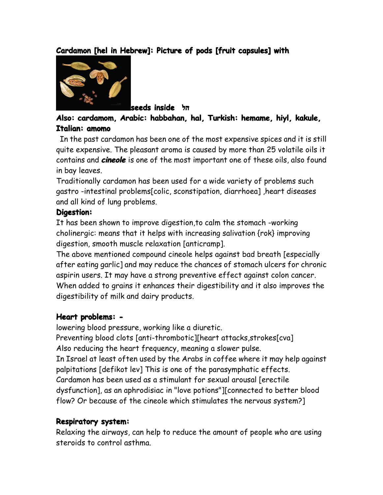## $C$ ardamon [hel in Hebrew]: Picture of pods [fruit capsules] with



**seeds inside הל**

## **Also: cardamom, cardamom,cardamom, cardamom,Arabic: Arabic:habbahan, habbahan,hal, Turkish: Turkish:hemame, hemame,hiyl, kakule, Italian: amomo**

In the past cardamon has been one of the most expensive spices and it is still quite expensive. The pleasant aroma is caused by more than 25 volatile oils it contains and *cineole* is one of the most important one of these oils, also found in bay leaves.

Traditionally cardamon has been used for <sup>a</sup> wide variety of problems such gastro -intestinal problems[colic, sconstipation, diarrhoea] ,heart diseases and all kind of lung problems.

#### **Digestion: Digestion:**

It has been shown to improve digestion,to calm the stomach -working cholinergic: means that it helps with increasing salivation {rok} improving digestion, smooth muscle relaxation [anticramp].

The above mentioned compound cineole helps against bad breath [especially after eating garlic] and may reduce the chances of stomach ulcers for chronic aspirin users. It may have <sup>a</sup> strong preventive effect against colon cancer. When added to grains it enhances their digestibility and it also improves the digestibility of milk and dairy products.

### **Heart problems: problems: -**

lowering blood pressure, working like <sup>a</sup> diuretic.

Preventing blood clots [anti-thrombotic][heart attacks, strokes[cva] Also reducing the heart frequency, meaning <sup>a</sup> slower pulse.

In Israel at least often used by the Arabs in coffee where it may help against palpitations [defikot lev] This is one of the parasymphatic effects.

Cardamon has been used as <sup>a</sup> stimulant for sexual arousal [erectile

dysfunction], as an aphrodisiac in "love potions"][connected to better blood flow? Or because of the cineole which stimulates the nervous system?]

#### **Respiratory system:**

Relaxing the airways, can help to reduce the amount of people who are using steroids to control asthma.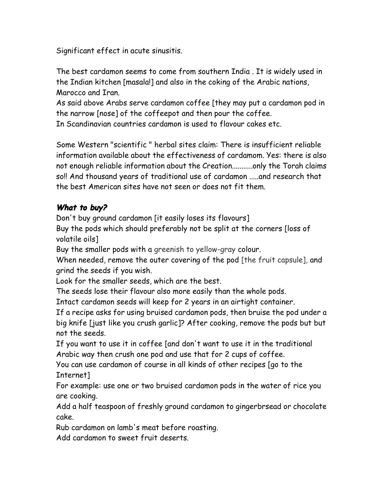Significant effect in acute sinusitis.

The best cardamon seems to come from southern India . It is widely used in the Indian kitchen [masala!] and also in the coking of the Arabic nations, Marocco and Iran.

As said above Arabs serve cardamon coffee [they may pu<sup>t</sup> <sup>a</sup> cardamon pod in the narrow [nose] of the coffeepot and then pour the coffee.

In Scandinavian countries cardamon is used to flavour cakes etc.

Some Western "scientific " herbal sites claim: There is insufficient reliable information available about the effectiveness of cardamom. Yes: there is also not enough reliable information about the Creation...........only the Torah claims so!! And thousand years of traditional use of cardamon .....and research that the best American sites have not seen or does not fit them.

# *What to buy?*

Don't buy ground cardamon [it easily loses its flavours]

Buy the pods which should preferably not be split at the corners [loss of volatile oils]

Buy the smaller pods with <sup>a</sup> greenish to yellow-gray colour.

When needed, remove the outer covering of the pod [the fruit capsule], and grind the seeds if you wish.

Look for the smaller seeds, which are the best.

The seeds lose their flavour also more easily than the whole pods.

Intact cardamon seeds will keepfor 2 years in an airtight container.

If <sup>a</sup> recipe asks for using bruised cardamon pods, then bruise the pod under <sup>a</sup> big knife [just like you crush garlic]? After cooking, remove the pods but but not the seeds.

If you want to use it in coffee [and don't want to use it in the traditional Arabic way then crush one pod and use that for 2 cups of coffee.

You can use cardamon of course in all kinds of other recipes [go to the Internet]

For example: use one or two bruised cardamon pods in the water of rice you are cooking.

Add <sup>a</sup> half teaspoon of freshly ground cardamon to gingerbrsead or chocolate cake.

Rub cardamon on lamb's meat before roasting.

Add cardamon to sweet fruit deserts.